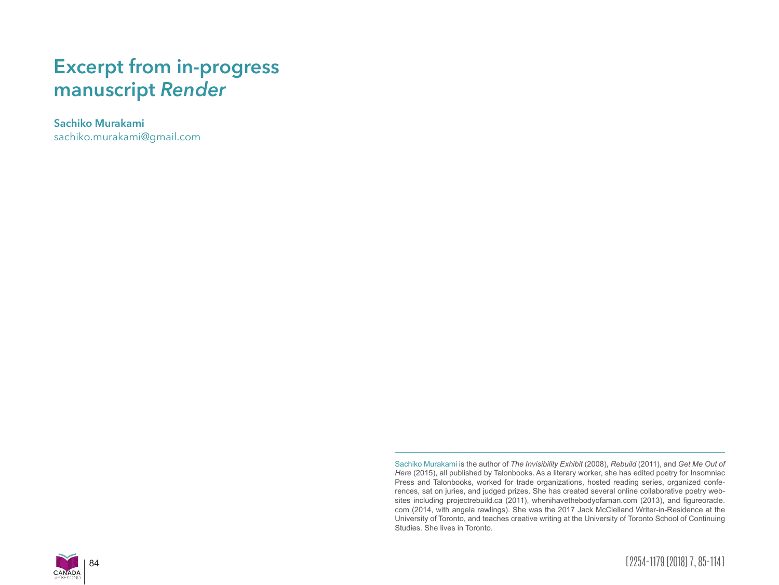# **Excerpt from in-progress manuscript** *Render*

**Sachiko Murakami** sachiko.murakami@gmail.com

> Sachiko Murakami is the author of *The Invisibility Exhibit* (2008), *Rebuild* (2011), and *Get Me Out of Here* (2015), all published by Talonbooks. As a literary worker, she has edited poetry for Insomniac Press and Talonbooks, worked for trade organizations, hosted reading series, organized conferences, sat on juries, and judged prizes. She has created several online collaborative poetry websites including projectrebuild.ca (2011), whenihavethebodyofaman.com (2013), and figureoracle. com (2014, with angela rawlings). She was the 2017 Jack McClelland Writer-in-Residence at the University of Toronto, and teaches creative writing at the University of Toronto School of Continuing Studies. She lives in Toronto.



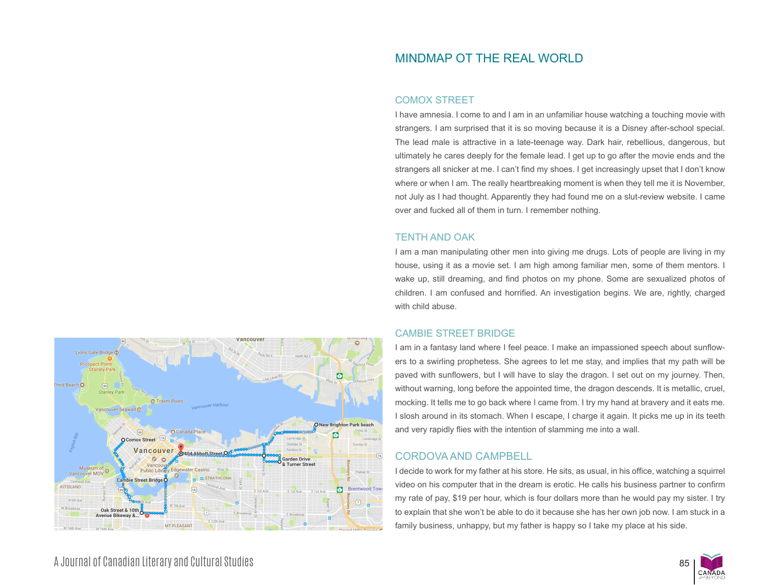## MINDMAP OT THE REAL WORLD

## COMOX STREET

I have amnesia. I come to and I am in an unfamiliar house watching a touching movie with strangers. I am surprised that it is so moving because it is a Disney after-school special. The lead male is attractive in a late-teenage way. Dark hair, rebellious, dangerous, but ultimately he cares deeply for the female lead. I get up to go after the movie ends and the strangers all snicker at me. I can't find my shoes. I get increasingly upset that I don't know where or when I am. The really heartbreaking moment is when they tell me it is November, not July as I had thought. Apparently they had found me on a slut-review website. I came over and fucked all of them in turn. I remember nothing.

#### TENTH AND OAK

I am a man manipulating other men into giving me drugs. Lots of people are living in my house, using it as a movie set. I am high among familiar men, some of them mentors. I wake up, still dreaming, and find photos on my phone. Some are sexualized photos of children. I am confused and horrified. An investigation begins. We are, rightly, charged with child abuse.

## CAMBIE STREET BRIDGE

I am in a fantasy land where I feel peace. I make an impassioned speech about sunflowers to a swirling prophetess. She agrees to let me stay, and implies that my path will be paved with sunflowers, but I will have to slay the dragon. I set out on my journey. Then, without warning, long before the appointed time, the dragon descends. It is metallic, cruel, mocking. It tells me to go back where I came from. I try my hand at bravery and it eats me. I slosh around in its stomach. When I escape, I charge it again. It picks me up in its teeth and very rapidly flies with the intention of slamming me into a wall.

## CORDOVA AND CAMPBELL

I decide to work for my father at his store. He sits, as usual, in his office, watching a squirrel video on his computer that in the dream is erotic. He calls his business partner to confirm my rate of pay, \$19 per hour, which is four dollars more than he would pay my sister. I try to explain that she won't be able to do it because she has her own job now. I am stuck in a family business, unhappy, but my father is happy so I take my place at his side.



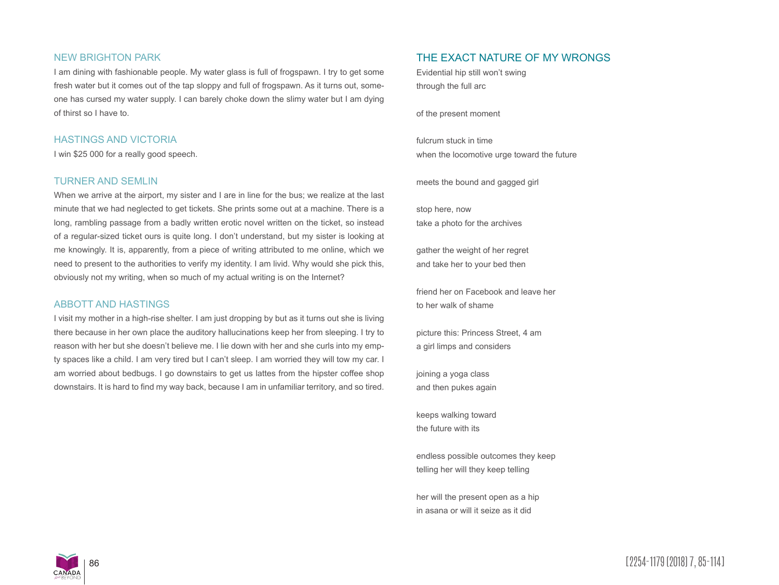#### NEW BRIGHTON PARK

I am dining with fashionable people. My water glass is full of frogspawn. I try to get some fresh water but it comes out of the tap sloppy and full of frogspawn. As it turns out, someone has cursed my water supply. I can barely choke down the slimy water but I am dying of thirst so I have to.

#### HASTINGS AND VICTORIA

I win \$25 000 for a really good speech.

#### TURNER AND SEMLIN

When we arrive at the airport, my sister and I are in line for the bus; we realize at the last minute that we had neglected to get tickets. She prints some out at a machine. There is a long, rambling passage from a badly written erotic novel written on the ticket, so instead of a regular-sized ticket ours is quite long. I don't understand, but my sister is looking at me knowingly. It is, apparently, from a piece of writing attributed to me online, which we need to present to the authorities to verify my identity. I am livid. Why would she pick this, obviously not my writing, when so much of my actual writing is on the Internet?

#### ABBOTT AND HASTINGS

I visit my mother in a high-rise shelter. I am just dropping by but as it turns out she is living there because in her own place the auditory hallucinations keep her from sleeping. I try to reason with her but she doesn't believe me. I lie down with her and she curls into my empty spaces like a child. I am very tired but I can't sleep. I am worried they will tow my car. I am worried about bedbugs. I go downstairs to get us lattes from the hipster coffee shop downstairs. It is hard to find my way back, because I am in unfamiliar territory, and so tired.

## THE EXACT NATURE OF MY WRONGS

Evidential hip still won't swing through the full arc

of the present moment

fulcrum stuck in time when the locomotive urge toward the future

meets the bound and gagged girl

stop here, now take a photo for the archives

gather the weight of her regret and take her to your bed then

friend her on Facebook and leave her to her walk of shame

picture this: Princess Street, 4 am a girl limps and considers

joining a yoga class and then pukes again

keeps walking toward the future with its

endless possible outcomes they keep telling her will they keep telling

her will the present open as a hip in asana or will it seize as it did

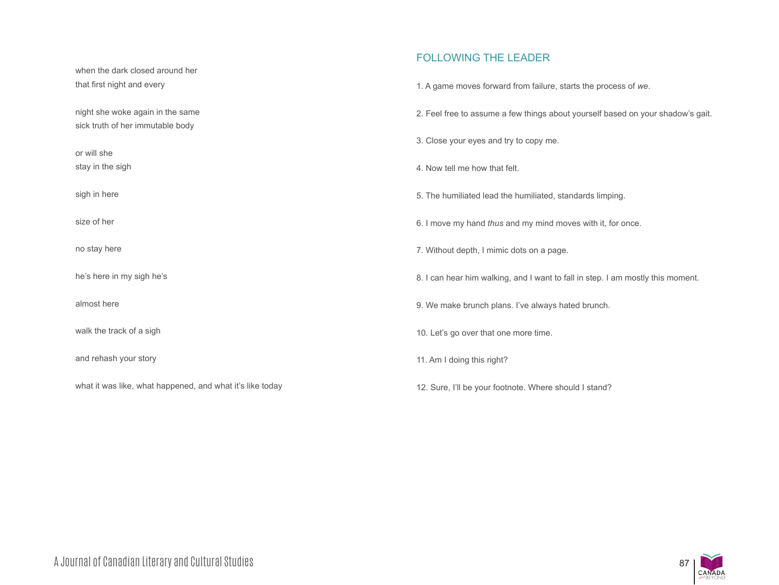## FOLLOWING THE LEADER

| that first night and every                                           | 1. A game moves forward from failure, starts the process of we.                 |
|----------------------------------------------------------------------|---------------------------------------------------------------------------------|
| night she woke again in the same<br>sick truth of her immutable body | 2. Feel free to assume a few things about yourself based on your shadow's gait. |
| or will she                                                          | 3. Close your eyes and try to copy me.                                          |
| stay in the sigh                                                     | 4. Now tell me how that felt.                                                   |
| sigh in here                                                         | 5. The humiliated lead the humiliated, standards limping.                       |
| size of her                                                          | 6. I move my hand thus and my mind moves with it, for once.                     |
| no stay here                                                         | 7. Without depth, I mimic dots on a page.                                       |
| he's here in my sigh he's                                            | 8. I can hear him walking, and I want to fall in step. I am mostly this moment. |
| almost here                                                          | 9. We make brunch plans. I've always hated brunch.                              |
| walk the track of a sigh                                             | 10. Let's go over that one more time.                                           |
| and rehash your story                                                | 11. Am I doing this right?                                                      |
| what it was like, what happened, and what it's like today            | 12. Sure, I'll be your footnote. Where should I stand?                          |

when the dark closed around her